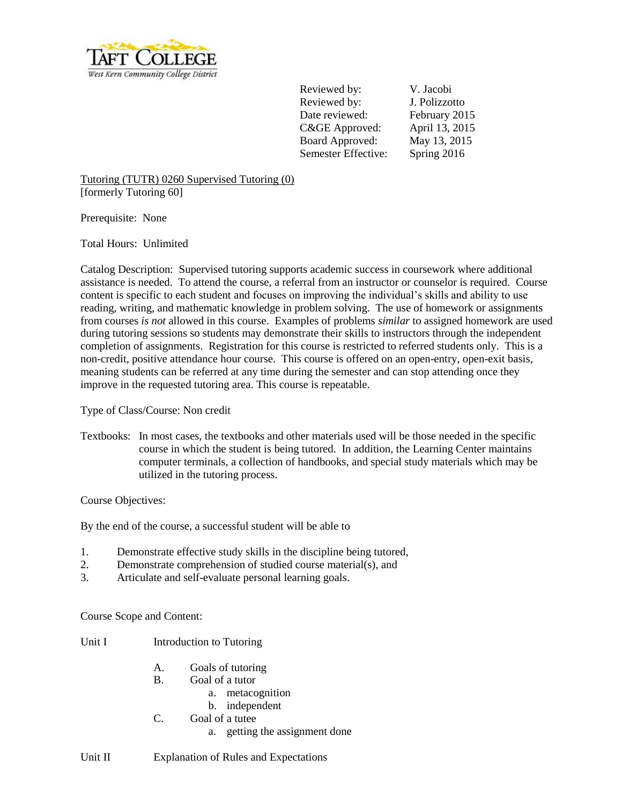

Reviewed by: V. Jacobi Reviewed by: J. Polizzotto Date reviewed: February 2015 C&GE Approved: April 13, 2015 Board Approved: May 13, 2015 Semester Effective: Spring 2016

Tutoring (TUTR) 0260 Supervised Tutoring (0) [formerly Tutoring 60]

Prerequisite: None

Total Hours: Unlimited

Catalog Description: Supervised tutoring supports academic success in coursework where additional assistance is needed. To attend the course, a referral from an instructor or counselor is required. Course content is specific to each student and focuses on improving the individual's skills and ability to use reading, writing, and mathematic knowledge in problem solving. The use of homework or assignments from courses *is not* allowed in this course. Examples of problems *similar* to assigned homework are used during tutoring sessions so students may demonstrate their skills to instructors through the independent completion of assignments. Registration for this course is restricted to referred students only. This is a non-credit, positive attendance hour course. This course is offered on an open-entry, open-exit basis, meaning students can be referred at any time during the semester and can stop attending once they improve in the requested tutoring area. This course is repeatable.

Type of Class/Course: Non credit

Textbooks: In most cases, the textbooks and other materials used will be those needed in the specific course in which the student is being tutored. In addition, the Learning Center maintains computer terminals, a collection of handbooks, and special study materials which may be utilized in the tutoring process.

Course Objectives:

By the end of the course, a successful student will be able to

- 1. Demonstrate effective study skills in the discipline being tutored,
- 2. Demonstrate comprehension of studied course material(s), and
- 3. Articulate and self-evaluate personal learning goals.

Course Scope and Content:

Unit I Introduction to Tutoring

- A. Goals of tutoring
- B. Goal of a tutor
	- a. metacognition
	- b. independent
- C. Goal of a tutee
	- a. getting the assignment done

Unit II Explanation of Rules and Expectations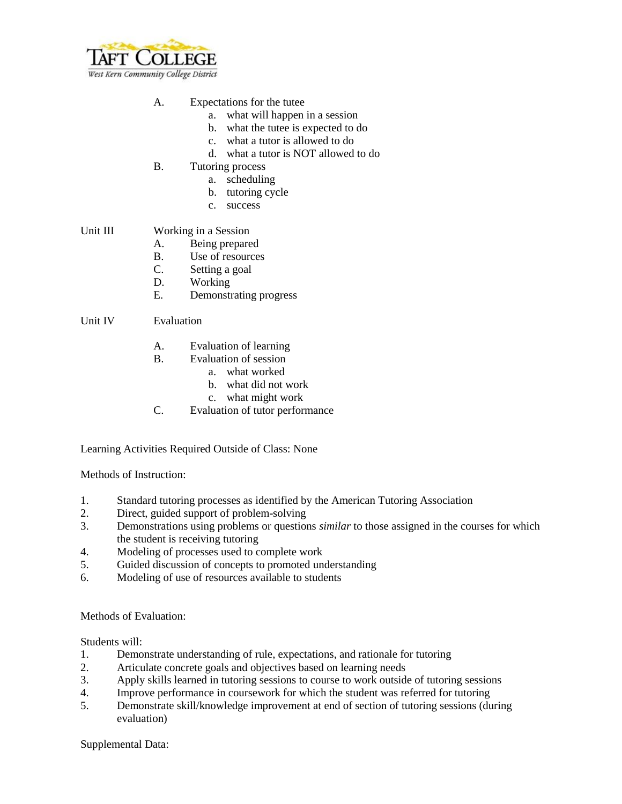

## A. Expectations for the tutee

- a. what will happen in a session
- b. what the tutee is expected to do
- c. what a tutor is allowed to do
- d. what a tutor is NOT allowed to do
- B. Tutoring process
	- a. scheduling
	- b. tutoring cycle
	- c. success

## Unit III Working in a Session

- A. Being prepared
- B. Use of resources
- C. Setting a goal
- D. Working
- E. Demonstrating progress

## Unit IV Evaluation

- A. Evaluation of learning
- B. Evaluation of session
	- a. what worked
	- b. what did not work
	- c. what might work
- C. Evaluation of tutor performance

Learning Activities Required Outside of Class: None

Methods of Instruction:

- 1. Standard tutoring processes as identified by the American Tutoring Association
- 2. Direct, guided support of problem-solving
- 3. Demonstrations using problems or questions *similar* to those assigned in the courses for which the student is receiving tutoring
- 4. Modeling of processes used to complete work
- 5. Guided discussion of concepts to promoted understanding
- 6. Modeling of use of resources available to students

## Methods of Evaluation:

Students will:

- 1. Demonstrate understanding of rule, expectations, and rationale for tutoring
- 2. Articulate concrete goals and objectives based on learning needs
- 3. Apply skills learned in tutoring sessions to course to work outside of tutoring sessions
- 4. Improve performance in coursework for which the student was referred for tutoring
- 5. Demonstrate skill/knowledge improvement at end of section of tutoring sessions (during evaluation)

Supplemental Data: